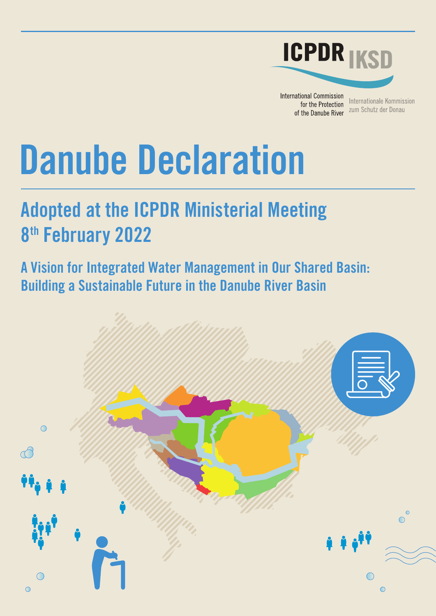

**International Commission** for the Protection of the Danube River

Internationale Kommission zum Schutz der Donau

# **Danube Declaration**

# **Adopted at the ICPDR Ministerial Meeting 8th February 2022**

**A Vision for Integrated Water Management in Our Shared Basin: Building a Sustainable Future in the Danube River Basin** 

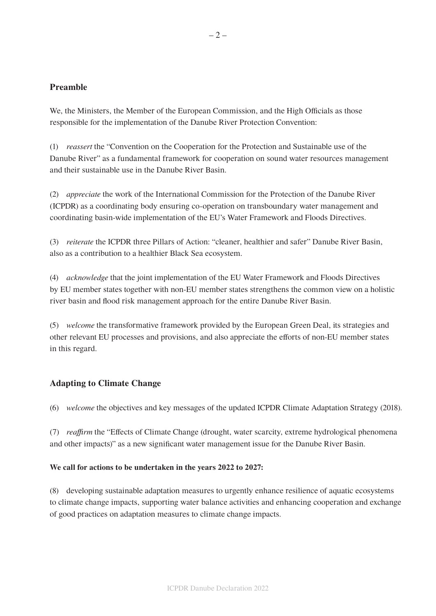# **Preamble**

We, the Ministers, the Member of the European Commission, and the High Officials as those responsible for the implementation of the Danube River Protection Convention:

(1) *reassert* the "Convention on the Cooperation for the Protection and Sustainable use of the Danube River" as a fundamental framework for cooperation on sound water resources management and their sustainable use in the Danube River Basin.

(2) *appreciate* the work of the International Commission for the Protection of the Danube River (ICPDR) as a coordinating body ensuring co-operation on transboundary water management and coordinating basin-wide implementation of the EU's Water Framework and Floods Directives.

(3) *reiterate* the ICPDR three Pillars of Action: "cleaner, healthier and safer" Danube River Basin, also as a contribution to a healthier Black Sea ecosystem.

(4) *acknowledge* that the joint implementation of the EU Water Framework and Floods Directives by EU member states together with non-EU member states strengthens the common view on a holistic river basin and flood risk management approach for the entire Danube River Basin.

(5) *welcome* the transformative framework provided by the European Green Deal, its strategies and other relevant EU processes and provisions, and also appreciate the efforts of non-EU member states in this regard.

# **Adapting to Climate Change**

(6) *welcome* the objectives and key messages of the updated ICPDR Climate Adaptation Strategy (2018).

(7) *reaffirm* the "Effects of Climate Change (drought, water scarcity, extreme hydrological phenomena and other impacts)" as a new significant water management issue for the Danube River Basin.

#### **We call for actions to be undertaken in the years 2022 to 2027:**

(8) developing sustainable adaptation measures to urgently enhance resilience of aquatic ecosystems to climate change impacts, supporting water balance activities and enhancing cooperation and exchange of good practices on adaptation measures to climate change impacts.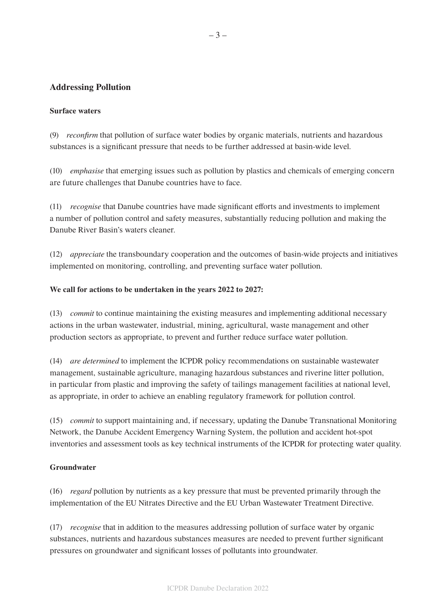# **Addressing Pollution**

#### **Surface waters**

(9) *reconfirm* that pollution of surface water bodies by organic materials, nutrients and hazardous substances is a significant pressure that needs to be further addressed at basin-wide level.

(10) *emphasise* that emerging issues such as pollution by plastics and chemicals of emerging concern are future challenges that Danube countries have to face.

(11) *recognise* that Danube countries have made significant efforts and investments to implement a number of pollution control and safety measures, substantially reducing pollution and making the Danube River Basin's waters cleaner.

(12) *appreciate* the transboundary cooperation and the outcomes of basin-wide projects and initiatives implemented on monitoring, controlling, and preventing surface water pollution.

#### **We call for actions to be undertaken in the years 2022 to 2027:**

(13) *commit* to continue maintaining the existing measures and implementing additional necessary actions in the urban wastewater, industrial, mining, agricultural, waste management and other production sectors as appropriate, to prevent and further reduce surface water pollution.

(14) *are determined* to implement the ICPDR policy recommendations on sustainable wastewater management, sustainable agriculture, managing hazardous substances and riverine litter pollution, in particular from plastic and improving the safety of tailings management facilities at national level, as appropriate, in order to achieve an enabling regulatory framework for pollution control.

(15) *commit* to support maintaining and, if necessary, updating the Danube Transnational Monitoring Network, the Danube Accident Emergency Warning System, the pollution and accident hot-spot inventories and assessment tools as key technical instruments of the ICPDR for protecting water quality.

# **Groundwater**

(16) *regard* pollution by nutrients as a key pressure that must be prevented primarily through the implementation of the EU Nitrates Directive and the EU Urban Wastewater Treatment Directive.

(17) *recognise* that in addition to the measures addressing pollution of surface water by organic substances, nutrients and hazardous substances measures are needed to prevent further significant pressures on groundwater and significant losses of pollutants into groundwater.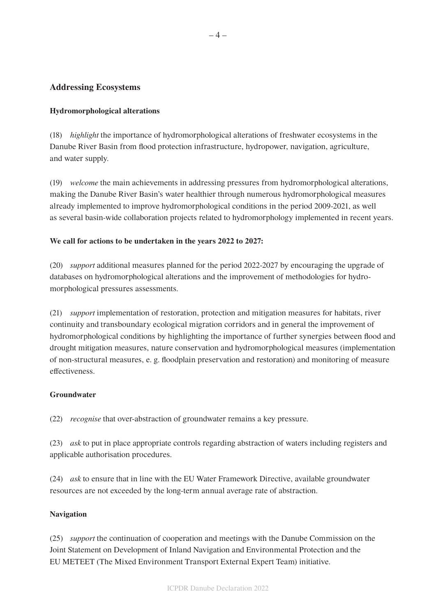# **Addressing Ecosystems**

# **Hydromorphological alterations**

(18) *highlight* the importance of hydromorphological alterations of freshwater ecosystems in the Danube River Basin from flood protection infrastructure, hydropower, navigation, agriculture, and water supply.

(19) *welcome* the main achievements in addressing pressures from hydromorphological alterations, making the Danube River Basin's water healthier through numerous hydromorphological measures already implemented to improve hydromorphological conditions in the period 2009-2021, as well as several basin-wide collaboration projects related to hydromorphology implemented in recent years.

#### **We call for actions to be undertaken in the years 2022 to 2027:**

(20) *support* additional measures planned for the period 2022-2027 by encouraging the upgrade of databases on hydromorphological alterations and the improvement of methodologies for hydromorphological pressures assessments.

(21) *support* implementation of restoration, protection and mitigation measures for habitats, river continuity and transboundary ecological migration corridors and in general the improvement of hydromorphological conditions by highlighting the importance of further synergies between flood and drought mitigation measures, nature conservation and hydromorphological measures (implementation of non-structural measures, e. g. floodplain preservation and restoration) and monitoring of measure effectiveness.

#### **Groundwater**

(22) *recognise* that over-abstraction of groundwater remains a key pressure.

(23) *ask* to put in place appropriate controls regarding abstraction of waters including registers and applicable authorisation procedures.

(24) *ask* to ensure that in line with the EU Water Framework Directive, available groundwater resources are not exceeded by the long-term annual average rate of abstraction.

#### **Navigation**

(25) *support* the continuation of cooperation and meetings with the Danube Commission on the Joint Statement on Development of Inland Navigation and Environmental Protection and the EU METEET (The Mixed Environment Transport External Expert Team) initiative.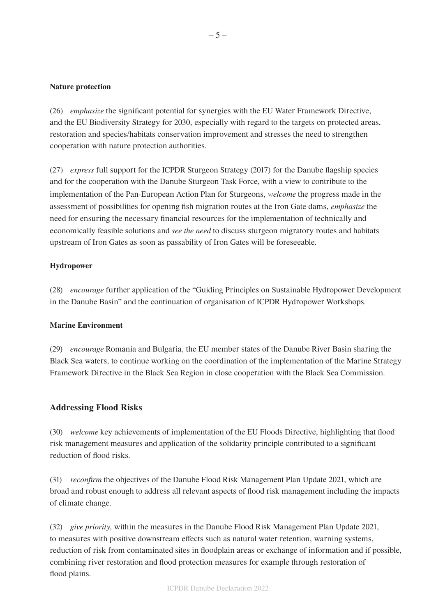#### **Nature protection**

(26) *emphasize* the significant potential for synergies with the EU Water Framework Directive, and the EU Biodiversity Strategy for 2030, especially with regard to the targets on protected areas, restoration and species/habitats conservation improvement and stresses the need to strengthen cooperation with nature protection authorities.

(27) *express* full support for the ICPDR Sturgeon Strategy (2017) for the Danube flagship species and for the cooperation with the Danube Sturgeon Task Force, with a view to contribute to the implementation of the Pan-European Action Plan for Sturgeons, *welcome* the progress made in the assessment of possibilities for opening fish migration routes at the Iron Gate dams, *emphasize* the need for ensuring the necessary financial resources for the implementation of technically and economically feasible solutions and *see the need* to discuss sturgeon migratory routes and habitats upstream of Iron Gates as soon as passability of Iron Gates will be foreseeable.

#### **Hydropower**

(28) *encourage* further application of the "Guiding Principles on Sustainable Hydropower Development in the Danube Basin" and the continuation of organisation of ICPDR Hydropower Workshops.

#### **Marine Environment**

(29) *encourage* Romania and Bulgaria, the EU member states of the Danube River Basin sharing the Black Sea waters, to continue working on the coordination of the implementation of the Marine Strategy Framework Directive in the Black Sea Region in close cooperation with the Black Sea Commission.

# **Addressing Flood Risks**

(30) *welcome* key achievements of implementation of the EU Floods Directive, highlighting that flood risk management measures and application of the solidarity principle contributed to a significant reduction of flood risks.

(31) *reconfirm* the objectives of the Danube Flood Risk Management Plan Update 2021, which are broad and robust enough to address all relevant aspects of flood risk management including the impacts of climate change.

(32) *give priority*, within the measures in the Danube Flood Risk Management Plan Update 2021, to measures with positive downstream effects such as natural water retention, warning systems, reduction of risk from contaminated sites in floodplain areas or exchange of information and if possible, combining river restoration and flood protection measures for example through restoration of flood plains.